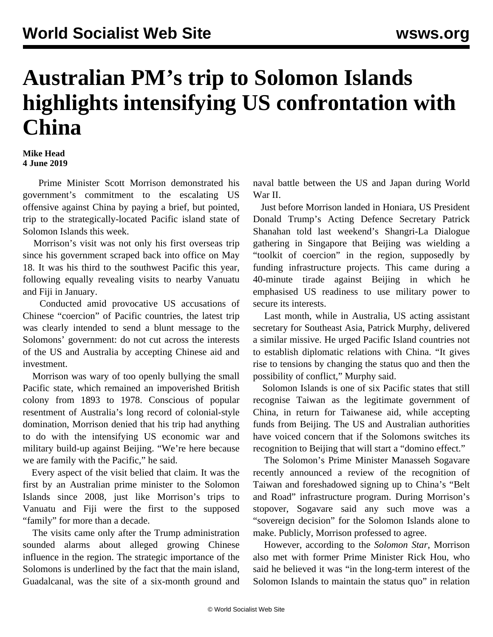## **Australian PM's trip to Solomon Islands highlights intensifying US confrontation with China**

## **Mike Head 4 June 2019**

 Prime Minister Scott Morrison demonstrated his government's commitment to the escalating US offensive against China by paying a brief, but pointed, trip to the strategically-located Pacific island state of Solomon Islands this week.

 Morrison's visit was not only his first overseas trip since his government scraped back into office on May 18. It was his third to the southwest Pacific this year, following equally revealing visits to nearby Vanuatu and Fiji in January.

 Conducted amid provocative US accusations of Chinese "coercion" of Pacific countries, the latest trip was clearly intended to send a blunt message to the Solomons' government: do not cut across the interests of the US and Australia by accepting Chinese aid and investment.

 Morrison was wary of too openly bullying the small Pacific state, which remained an impoverished British colony from 1893 to 1978. Conscious of popular resentment of Australia's long record of colonial-style domination, Morrison denied that his trip had anything to do with the intensifying US economic war and military build-up against Beijing. "We're here because we are family with the Pacific," he said.

 Every aspect of the visit belied that claim. It was the first by an Australian prime minister to the Solomon Islands since 2008, just like Morrison's trips to Vanuatu and Fiji were the first to the supposed "family" for more than a decade.

 The visits came only after the Trump administration sounded alarms about alleged growing Chinese influence in the region. The strategic importance of the Solomons is underlined by the fact that the main island, Guadalcanal, was the site of a six-month ground and

naval battle between the US and Japan during World War II.

 Just before Morrison landed in Honiara, US President Donald Trump's Acting Defence Secretary Patrick Shanahan told last weekend's Shangri-La Dialogue gathering in Singapore that Beijing was wielding a "toolkit of coercion" in the region, supposedly by funding infrastructure projects. This came during a 40-minute tirade against Beijing in which he emphasised US readiness to use military power to secure its interests.

 Last month, while in Australia, US acting assistant secretary for Southeast Asia, Patrick Murphy, delivered a similar missive. He urged Pacific Island countries not to establish diplomatic relations with China. "It gives rise to tensions by changing the status quo and then the possibility of conflict," Murphy said.

 Solomon Islands is one of six Pacific states that still recognise Taiwan as the legitimate government of China, in return for Taiwanese aid, while accepting funds from Beijing. The US and Australian authorities have voiced concern that if the Solomons switches its recognition to Beijing that will start a "domino effect."

 The Solomon's Prime Minister Manasseh Sogavare recently announced a review of the recognition of Taiwan and foreshadowed signing up to China's "Belt and Road" infrastructure program. During Morrison's stopover, Sogavare said any such move was a "sovereign decision" for the Solomon Islands alone to make. Publicly, Morrison professed to agree.

 However, according to the *Solomon Star*, Morrison also met with former Prime Minister Rick Hou, who said he believed it was "in the long-term interest of the Solomon Islands to maintain the status quo" in relation